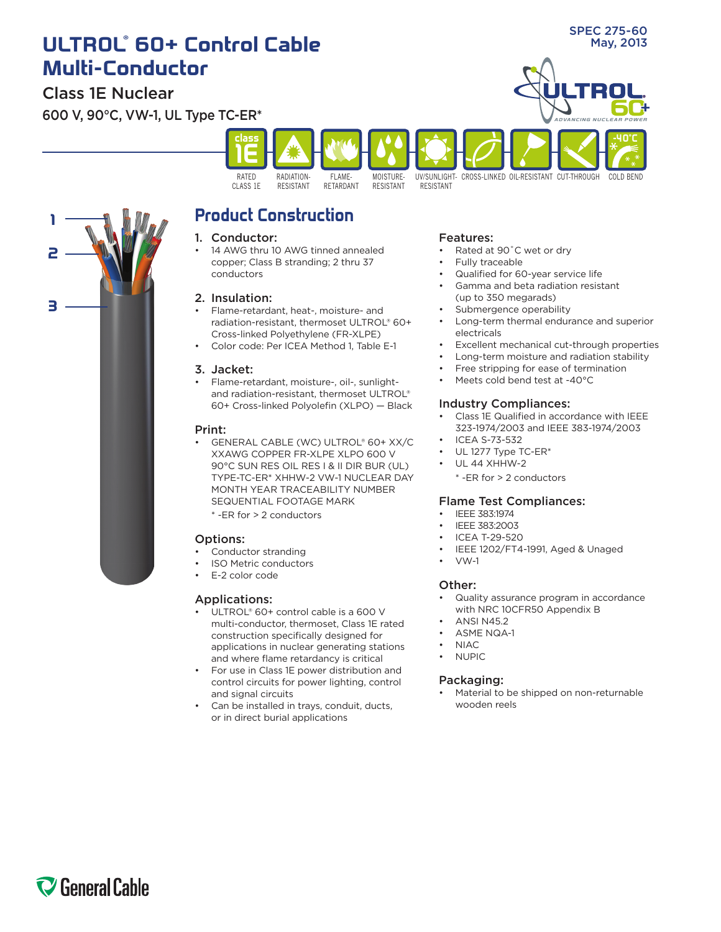# **ULTROL** May, 2013 **® 60+ Control Cable Multi-Conductor**

### Class 1E Nuclear

**2**

**1**

**3**

600 V, 90°C, VW-1, UL Type TC-ER\*



## **Product Construction**

#### 1. Conductor:

14 AWG thru 10 AWG tinned annealed copper; Class B stranding; 2 thru 37 conductors

### 2. Insulation:

- Flame-retardant, heat-, moisture- and radiation-resistant, thermoset ULTROL® 60+ Cross-linked Polyethylene (FR-XLPE)
- Color code: Per ICEA Method 1, Table E-1

#### 3. Jacket:

Flame-retardant, moisture-, oil-, sunlightand radiation-resistant, thermoset ULTROL® 60+ Cross-linked Polyolefin (XLPO) — Black

#### Print:

- GENERAL CABLE (WC) ULTROL® 60+ XX/C XXAWG COPPER FR-XLPE XLPO 600 V 90°C SUN RES OIL RES I & II DIR BUR (UL) TYPE-TC-ER\* XHHW-2 VW-1 NUCLEAR DAY MONTH YEAR TRACEABILITY NUMBER SEQUENTIAL FOOTAGE MARK
	- \* -ER for > 2 conductors

#### Options:

- Conductor stranding
- **ISO Metric conductors**
- E-2 color code

### Applications:

- ULTROL® 60+ control cable is a 600 V multi-conductor, thermoset, Class 1E rated construction specifically designed for applications in nuclear generating stations and where flame retardancy is critical
- For use in Class 1E power distribution and control circuits for power lighting, control and signal circuits
- Can be installed in trays, conduit, ducts, or in direct burial applications

#### Features:

- Rated at 90°C wet or dry
- Fully traceable
- Qualified for 60-year service life
- Gamma and beta radiation resistant (up to 350 megarads)
- Submergence operability
- Long-term thermal endurance and superior electricals

SPEC 275-60

- Excellent mechanical cut-through properties
- Long-term moisture and radiation stability
- Free stripping for ease of termination
- Meets cold bend test at -40°C

#### Industry Compliances:

- Class 1E Qualified in accordance with IEEE 323-1974/2003 and IEEE 383-1974/2003
- **ICEA S-73-532**
- UL 1277 Type TC-ER\*
- **UL 44 XHHW-2** 
	- \* -ER for > 2 conductors

#### Flame Test Compliances:

- **IFFF 383:1974**
- IEEE 383:2003
- **ICEA T-29-520**
- IEEE 1202/FT4-1991, Aged & Unaged
- $VW-1$

#### Other:

- Quality assurance program in accordance with NRC 10CFR50 Appendix B
- **ANSI N45.2**
- **ASME NQA-1**
- $NIAC$
- **NUPIC**

#### Packaging:

Material to be shipped on non-returnable wooden reels